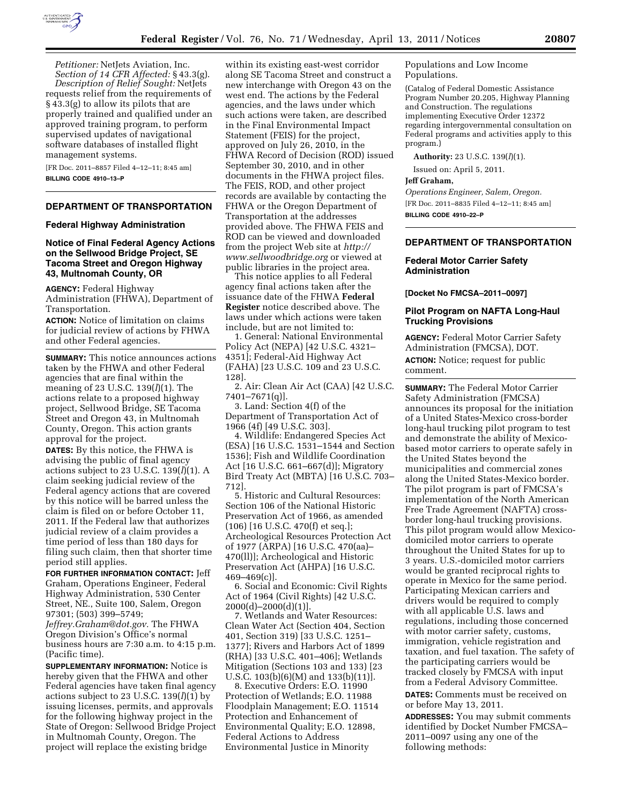

*Petitioner:* NetJets Aviation, Inc. *Section of 14 CFR Affected:* § 43.3(g). *Description of Relief Sought:* NetJets requests relief from the requirements of § 43.3(g) to allow its pilots that are properly trained and qualified under an approved training program, to perform supervised updates of navigational software databases of installed flight management systems.

[FR Doc. 2011–8857 Filed 4–12–11; 8:45 am] **BILLING CODE 4910–13–P** 

# **DEPARTMENT OF TRANSPORTATION**

### **Federal Highway Administration**

# **Notice of Final Federal Agency Actions on the Sellwood Bridge Project, SE Tacoma Street and Oregon Highway 43, Multnomah County, OR**

**AGENCY:** Federal Highway Administration (FHWA), Department of Transportation.

**ACTION:** Notice of limitation on claims for judicial review of actions by FHWA and other Federal agencies.

**SUMMARY:** This notice announces actions taken by the FHWA and other Federal agencies that are final within the meaning of 23 U.S.C. 139(*l*)(1). The actions relate to a proposed highway project, Sellwood Bridge, SE Tacoma Street and Oregon 43, in Multnomah County, Oregon. This action grants approval for the project.

**DATES:** By this notice, the FHWA is advising the public of final agency actions subject to 23 U.S.C. 139(*l*)(1). A claim seeking judicial review of the Federal agency actions that are covered by this notice will be barred unless the claim is filed on or before October 11, 2011. If the Federal law that authorizes judicial review of a claim provides a time period of less than 180 days for filing such claim, then that shorter time period still applies.

**FOR FURTHER INFORMATION CONTACT:** Jeff Graham, Operations Engineer, Federal Highway Administration, 530 Center Street, NE., Suite 100, Salem, Oregon 97301; (503) 399–5749;

*[Jeffrey.Graham@dot.gov.](mailto:Jeffrey.Graham@dot.gov)* The FHWA Oregon Division's Office's normal business hours are 7:30 a.m. to 4:15 p.m. (Pacific time).

**SUPPLEMENTARY INFORMATION:** Notice is hereby given that the FHWA and other Federal agencies have taken final agency actions subject to 23 U.S.C. 139(*l*)(1) by issuing licenses, permits, and approvals for the following highway project in the State of Oregon: Sellwood Bridge Project in Multnomah County, Oregon. The project will replace the existing bridge

within its existing east-west corridor along SE Tacoma Street and construct a new interchange with Oregon 43 on the west end. The actions by the Federal agencies, and the laws under which such actions were taken, are described in the Final Environmental Impact Statement (FEIS) for the project, approved on July 26, 2010, in the FHWA Record of Decision (ROD) issued September 30, 2010, and in other documents in the FHWA project files. The FEIS, ROD, and other project records are available by contacting the FHWA or the Oregon Department of Transportation at the addresses provided above. The FHWA FEIS and ROD can be viewed and downloaded from the project Web site at *[http://](http://www.sellwoodbridge.org)  [www.sellwoodbridge.org](http://www.sellwoodbridge.org)* or viewed at public libraries in the project area.

This notice applies to all Federal agency final actions taken after the issuance date of the FHWA **Federal Register** notice described above. The laws under which actions were taken include, but are not limited to:

1. General: National Environmental Policy Act (NEPA) [42 U.S.C. 4321– 4351]; Federal-Aid Highway Act (FAHA) [23 U.S.C. 109 and 23 U.S.C. 128].

2. Air: Clean Air Act (CAA) [42 U.S.C. 7401–7671(q)].

3. Land: Section 4(f) of the Department of Transportation Act of 1966 (4f) [49 U.S.C. 303].

4. Wildlife: Endangered Species Act (ESA) [16 U.S.C. 1531–1544 and Section 1536]; Fish and Wildlife Coordination Act [16 U.S.C. 661–667(d)]; Migratory Bird Treaty Act (MBTA) [16 U.S.C. 703– 712].

5. Historic and Cultural Resources: Section 106 of the National Historic Preservation Act of 1966, as amended (106) [16 U.S.C. 470(f) et seq.]; Archeological Resources Protection Act of 1977 (ARPA) [16 U.S.C. 470(aa)– 470(ll)]; Archeological and Historic Preservation Act (AHPA) [16 U.S.C. 469–469(c)].

6. Social and Economic: Civil Rights Act of 1964 (Civil Rights) [42 U.S.C. 2000(d)–2000(d)(1)].

7. Wetlands and Water Resources: Clean Water Act (Section 404, Section 401, Section 319) [33 U.S.C. 1251– 1377]; Rivers and Harbors Act of 1899 (RHA) [33 U.S.C. 401–406]; Wetlands Mitigation (Sections 103 and 133) [23 U.S.C. 103(b)(6)(M) and 133(b)(11)].

8. Executive Orders: E.O. 11990 Protection of Wetlands; E.O. 11988 Floodplain Management; E.O. 11514 Protection and Enhancement of Environmental Quality; E.O. 12898, Federal Actions to Address Environmental Justice in Minority

Populations and Low Income Populations.

(Catalog of Federal Domestic Assistance Program Number 20.205, Highway Planning and Construction. The regulations implementing Executive Order 12372 regarding intergovernmental consultation on Federal programs and activities apply to this program.)

**Authority:** 23 U.S.C. 139(*l*)(1).

Issued on: April 5, 2011.

#### **Jeff Graham,**

*Operations Engineer, Salem, Oregon.*  [FR Doc. 2011–8835 Filed 4–12–11; 8:45 am] **BILLING CODE 4910–22–P** 

# **DEPARTMENT OF TRANSPORTATION**

# **Federal Motor Carrier Safety Administration**

**[Docket No FMCSA–2011–0097]** 

# **Pilot Program on NAFTA Long-Haul Trucking Provisions**

**AGENCY:** Federal Motor Carrier Safety Administration (FMCSA), DOT. **ACTION:** Notice; request for public comment.

**SUMMARY:** The Federal Motor Carrier Safety Administration (FMCSA) announces its proposal for the initiation of a United States-Mexico cross-border long-haul trucking pilot program to test and demonstrate the ability of Mexicobased motor carriers to operate safely in the United States beyond the municipalities and commercial zones along the United States-Mexico border. The pilot program is part of FMCSA's implementation of the North American Free Trade Agreement (NAFTA) crossborder long-haul trucking provisions. This pilot program would allow Mexicodomiciled motor carriers to operate throughout the United States for up to 3 years. U.S.-domiciled motor carriers would be granted reciprocal rights to operate in Mexico for the same period. Participating Mexican carriers and drivers would be required to comply with all applicable U.S. laws and regulations, including those concerned with motor carrier safety, customs, immigration, vehicle registration and taxation, and fuel taxation. The safety of the participating carriers would be tracked closely by FMCSA with input from a Federal Advisory Committee.

**DATES:** Comments must be received on or before May 13, 2011.

**ADDRESSES:** You may submit comments identified by Docket Number FMCSA– 2011–0097 using any one of the following methods: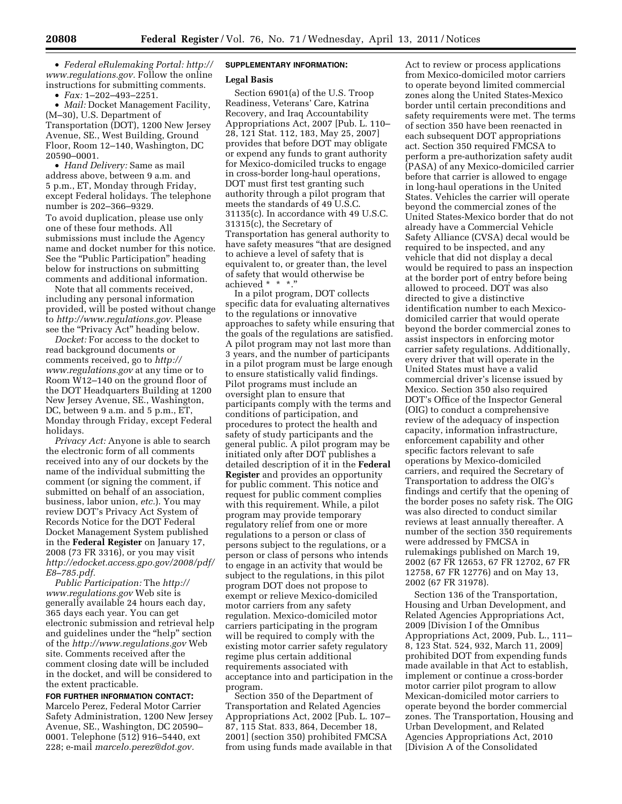• *Federal eRulemaking Portal: [http://](http://www.regulations.gov)  [www.regulations.gov.](http://www.regulations.gov)* Follow the online instructions for submitting comments.

• *Fax:* 1–202–493–2251.

• *Mail:* Docket Management Facility, (M–30), U.S. Department of Transportation (DOT), 1200 New Jersey Avenue, SE., West Building, Ground Floor, Room 12–140, Washington, DC 20590–0001.

• *Hand Delivery:* Same as mail address above, between 9 a.m. and 5 p.m., ET, Monday through Friday, except Federal holidays. The telephone number is 202–366–9329. To avoid duplication, please use only one of these four methods. All submissions must include the Agency name and docket number for this notice. See the "Public Participation" heading below for instructions on submitting comments and additional information.

Note that all comments received, including any personal information provided, will be posted without change to *[http://www.regulations.gov.](http://www.regulations.gov)* Please see the "Privacy Act" heading below.

*Docket:* For access to the docket to read background documents or comments received, go to *[http://](http://www.regulations.gov)  [www.regulations.gov](http://www.regulations.gov)* at any time or to Room W12–140 on the ground floor of the DOT Headquarters Building at 1200 New Jersey Avenue, SE., Washington, DC, between 9 a.m. and 5 p.m., ET, Monday through Friday, except Federal holidays.

*Privacy Act:* Anyone is able to search the electronic form of all comments received into any of our dockets by the name of the individual submitting the comment (or signing the comment, if submitted on behalf of an association, business, labor union, *etc.*). You may review DOT's Privacy Act System of Records Notice for the DOT Federal Docket Management System published in the **Federal Register** on January 17, 2008 (73 FR 3316), or you may visit *[http://edocket.access.gpo.gov/2008/pdf/](http://edocket.access.gpo.gov/2008/pdf/E8-785.pdf) [E8–785.pdf.](http://edocket.access.gpo.gov/2008/pdf/E8-785.pdf)* 

*Public Participation:* The *[http://](http://www.regulations.gov)  [www.regulations.gov](http://www.regulations.gov)* Web site is generally available 24 hours each day, 365 days each year. You can get electronic submission and retrieval help and guidelines under the ''help'' section of the *<http://www.regulations.gov>* Web site. Comments received after the comment closing date will be included in the docket, and will be considered to the extent practicable.

**FOR FURTHER INFORMATION CONTACT:**  Marcelo Perez, Federal Motor Carrier Safety Administration, 1200 New Jersey Avenue, SE., Washington, DC 20590– 0001. Telephone (512) 916–5440, ext 228; e-mail *[marcelo.perez@dot.gov.](mailto:marcelo.perez@dot.gov)* 

### **SUPPLEMENTARY INFORMATION:**

### **Legal Basis**

Section 6901(a) of the U.S. Troop Readiness, Veterans' Care, Katrina Recovery, and Iraq Accountability Appropriations Act, 2007 [Pub. L. 110– 28, 121 Stat. 112, 183, May 25, 2007] provides that before DOT may obligate or expend any funds to grant authority for Mexico-domiciled trucks to engage in cross-border long-haul operations, DOT must first test granting such authority through a pilot program that meets the standards of 49 U.S.C. 31135(c). In accordance with 49 U.S.C. 31315(c), the Secretary of Transportation has general authority to have safety measures ''that are designed to achieve a level of safety that is equivalent to, or greater than, the level of safety that would otherwise be achieved \* \* \*.''

In a pilot program, DOT collects specific data for evaluating alternatives to the regulations or innovative approaches to safety while ensuring that the goals of the regulations are satisfied. A pilot program may not last more than 3 years, and the number of participants in a pilot program must be large enough to ensure statistically valid findings. Pilot programs must include an oversight plan to ensure that participants comply with the terms and conditions of participation, and procedures to protect the health and safety of study participants and the general public. A pilot program may be initiated only after DOT publishes a detailed description of it in the **Federal Register** and provides an opportunity for public comment. This notice and request for public comment complies with this requirement. While, a pilot program may provide temporary regulatory relief from one or more regulations to a person or class of persons subject to the regulations, or a person or class of persons who intends to engage in an activity that would be subject to the regulations, in this pilot program DOT does not propose to exempt or relieve Mexico-domiciled motor carriers from any safety regulation. Mexico-domiciled motor carriers participating in the program will be required to comply with the existing motor carrier safety regulatory regime plus certain additional requirements associated with acceptance into and participation in the program.

Section 350 of the Department of Transportation and Related Agencies Appropriations Act, 2002 [Pub. L. 107– 87, 115 Stat. 833, 864, December 18, 2001] (section 350) prohibited FMCSA from using funds made available in that

Act to review or process applications from Mexico-domiciled motor carriers to operate beyond limited commercial zones along the United States-Mexico border until certain preconditions and safety requirements were met. The terms of section 350 have been reenacted in each subsequent DOT appropriations act. Section 350 required FMCSA to perform a pre-authorization safety audit (PASA) of any Mexico-domiciled carrier before that carrier is allowed to engage in long-haul operations in the United States. Vehicles the carrier will operate beyond the commercial zones of the United States-Mexico border that do not already have a Commercial Vehicle Safety Alliance (CVSA) decal would be required to be inspected, and any vehicle that did not display a decal would be required to pass an inspection at the border port of entry before being allowed to proceed. DOT was also directed to give a distinctive identification number to each Mexicodomiciled carrier that would operate beyond the border commercial zones to assist inspectors in enforcing motor carrier safety regulations. Additionally, every driver that will operate in the United States must have a valid commercial driver's license issued by Mexico. Section 350 also required DOT's Office of the Inspector General (OIG) to conduct a comprehensive review of the adequacy of inspection capacity, information infrastructure, enforcement capability and other specific factors relevant to safe operations by Mexico-domiciled carriers, and required the Secretary of Transportation to address the OIG's findings and certify that the opening of the border poses no safety risk. The OIG was also directed to conduct similar reviews at least annually thereafter. A number of the section 350 requirements were addressed by FMCSA in rulemakings published on March 19, 2002 (67 FR 12653, 67 FR 12702, 67 FR 12758, 67 FR 12776) and on May 13, 2002 (67 FR 31978).

Section 136 of the Transportation, Housing and Urban Development, and Related Agencies Appropriations Act, 2009 [Division I of the Omnibus Appropriations Act, 2009, Pub. L., 111– 8, 123 Stat. 524, 932, March 11, 2009] prohibited DOT from expending funds made available in that Act to establish, implement or continue a cross-border motor carrier pilot program to allow Mexican-domiciled motor carriers to operate beyond the border commercial zones. The Transportation, Housing and Urban Development, and Related Agencies Appropriations Act, 2010 [Division A of the Consolidated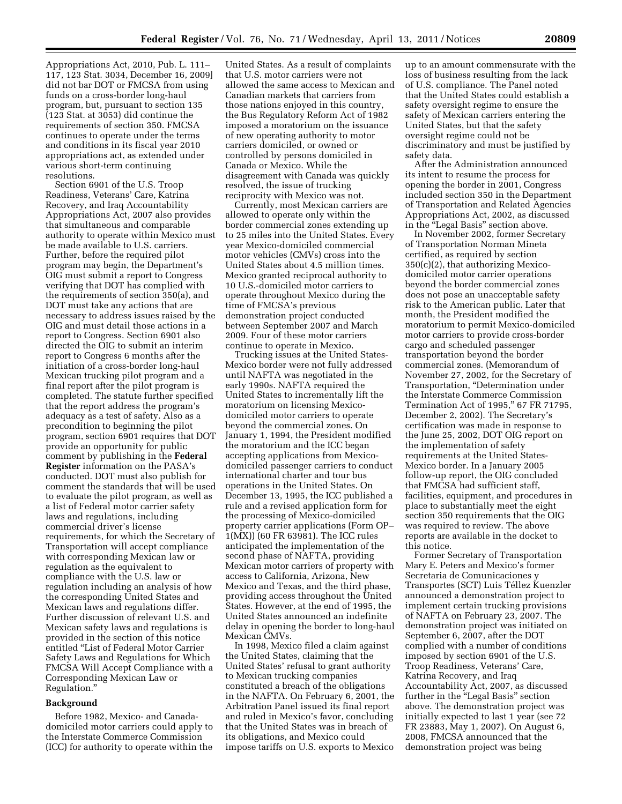Appropriations Act, 2010, Pub. L. 111– 117, 123 Stat. 3034, December 16, 2009] did not bar DOT or FMCSA from using funds on a cross-border long-haul program, but, pursuant to section 135 (123 Stat. at 3053) did continue the requirements of section 350. FMCSA continues to operate under the terms and conditions in its fiscal year 2010 appropriations act, as extended under various short-term continuing resolutions.

Section 6901 of the U.S. Troop Readiness, Veterans' Care, Katrina Recovery, and Iraq Accountability Appropriations Act, 2007 also provides that simultaneous and comparable authority to operate within Mexico must be made available to U.S. carriers. Further, before the required pilot program may begin, the Department's OIG must submit a report to Congress verifying that DOT has complied with the requirements of section 350(a), and DOT must take any actions that are necessary to address issues raised by the OIG and must detail those actions in a report to Congress. Section 6901 also directed the OIG to submit an interim report to Congress 6 months after the initiation of a cross-border long-haul Mexican trucking pilot program and a final report after the pilot program is completed. The statute further specified that the report address the program's adequacy as a test of safety. Also as a precondition to beginning the pilot program, section 6901 requires that DOT provide an opportunity for public comment by publishing in the **Federal Register** information on the PASA's conducted. DOT must also publish for comment the standards that will be used to evaluate the pilot program, as well as a list of Federal motor carrier safety laws and regulations, including commercial driver's license requirements, for which the Secretary of Transportation will accept compliance with corresponding Mexican law or regulation as the equivalent to compliance with the U.S. law or regulation including an analysis of how the corresponding United States and Mexican laws and regulations differ. Further discussion of relevant U.S. and Mexican safety laws and regulations is provided in the section of this notice entitled ''List of Federal Motor Carrier Safety Laws and Regulations for Which FMCSA Will Accept Compliance with a Corresponding Mexican Law or Regulation.''

### **Background**

Before 1982, Mexico- and Canadadomiciled motor carriers could apply to the Interstate Commerce Commission (ICC) for authority to operate within the

United States. As a result of complaints that U.S. motor carriers were not allowed the same access to Mexican and Canadian markets that carriers from those nations enjoyed in this country, the Bus Regulatory Reform Act of 1982 imposed a moratorium on the issuance of new operating authority to motor carriers domiciled, or owned or controlled by persons domiciled in Canada or Mexico. While the disagreement with Canada was quickly resolved, the issue of trucking reciprocity with Mexico was not.

Currently, most Mexican carriers are allowed to operate only within the border commercial zones extending up to 25 miles into the United States. Every year Mexico-domiciled commercial motor vehicles (CMVs) cross into the United States about 4.5 million times. Mexico granted reciprocal authority to 10 U.S.-domiciled motor carriers to operate throughout Mexico during the time of FMCSA's previous demonstration project conducted between September 2007 and March 2009. Four of these motor carriers continue to operate in Mexico.

Trucking issues at the United States-Mexico border were not fully addressed until NAFTA was negotiated in the early 1990s. NAFTA required the United States to incrementally lift the moratorium on licensing Mexicodomiciled motor carriers to operate beyond the commercial zones. On January 1, 1994, the President modified the moratorium and the ICC began accepting applications from Mexicodomiciled passenger carriers to conduct international charter and tour bus operations in the United States. On December 13, 1995, the ICC published a rule and a revised application form for the processing of Mexico-domiciled property carrier applications (Form OP– 1(MX)) (60 FR 63981). The ICC rules anticipated the implementation of the second phase of NAFTA, providing Mexican motor carriers of property with access to California, Arizona, New Mexico and Texas, and the third phase, providing access throughout the United States. However, at the end of 1995, the United States announced an indefinite delay in opening the border to long-haul Mexican CMVs.

In 1998, Mexico filed a claim against the United States, claiming that the United States' refusal to grant authority to Mexican trucking companies constituted a breach of the obligations in the NAFTA. On February 6, 2001, the Arbitration Panel issued its final report and ruled in Mexico's favor, concluding that the United States was in breach of its obligations, and Mexico could impose tariffs on U.S. exports to Mexico

up to an amount commensurate with the loss of business resulting from the lack of U.S. compliance. The Panel noted that the United States could establish a safety oversight regime to ensure the safety of Mexican carriers entering the United States, but that the safety oversight regime could not be discriminatory and must be justified by safety data.

After the Administration announced its intent to resume the process for opening the border in 2001, Congress included section 350 in the Department of Transportation and Related Agencies Appropriations Act, 2002, as discussed in the ''Legal Basis'' section above.

In November 2002, former Secretary of Transportation Norman Mineta certified, as required by section 350(c)(2), that authorizing Mexicodomiciled motor carrier operations beyond the border commercial zones does not pose an unacceptable safety risk to the American public. Later that month, the President modified the moratorium to permit Mexico-domiciled motor carriers to provide cross-border cargo and scheduled passenger transportation beyond the border commercial zones. (Memorandum of November 27, 2002, for the Secretary of Transportation, ''Determination under the Interstate Commerce Commission Termination Act of 1995,'' 67 FR 71795, December 2, 2002). The Secretary's certification was made in response to the June 25, 2002, DOT OIG report on the implementation of safety requirements at the United States-Mexico border. In a January 2005 follow-up report, the OIG concluded that FMCSA had sufficient staff, facilities, equipment, and procedures in place to substantially meet the eight section 350 requirements that the OIG was required to review. The above reports are available in the docket to this notice.

Former Secretary of Transportation Mary E. Peters and Mexico's former Secretaria de Comunicaciones y Transportes (SCT) Luis Te´llez Kuenzler announced a demonstration project to implement certain trucking provisions of NAFTA on February 23, 2007. The demonstration project was initiated on September 6, 2007, after the DOT complied with a number of conditions imposed by section 6901 of the U.S. Troop Readiness, Veterans' Care, Katrina Recovery, and Iraq Accountability Act, 2007, as discussed further in the ''Legal Basis'' section above. The demonstration project was initially expected to last 1 year (see 72 FR 23883, May 1, 2007). On August 6, 2008, FMCSA announced that the demonstration project was being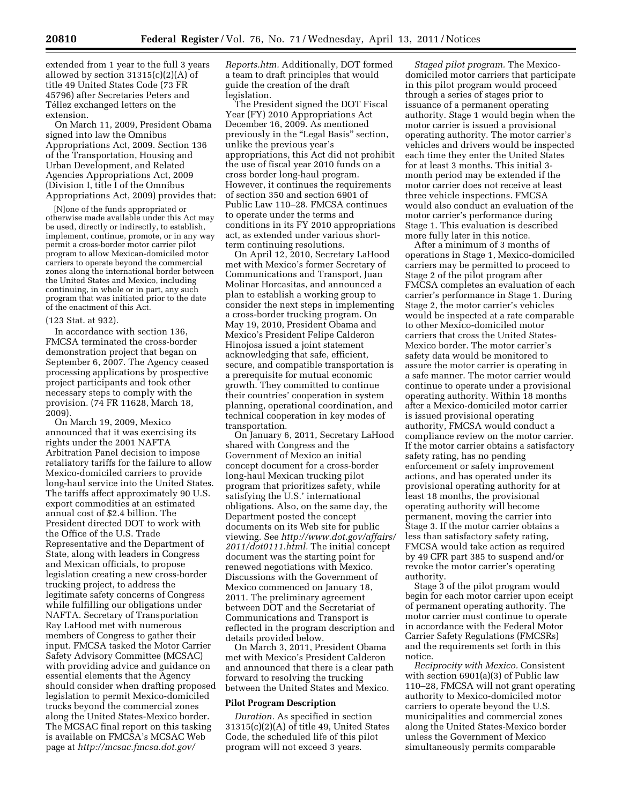extended from 1 year to the full 3 years allowed by section 31315(c)(2)(A) of title 49 United States Code (73 FR 45796) after Secretaries Peters and Téllez exchanged letters on the extension.

On March 11, 2009, President Obama signed into law the Omnibus Appropriations Act, 2009. Section 136 of the Transportation, Housing and Urban Development, and Related Agencies Appropriations Act, 2009 (Division I, title I of the Omnibus Appropriations Act, 2009) provides that:

[N]one of the funds appropriated or otherwise made available under this Act may be used, directly or indirectly, to establish, implement, continue, promote, or in any way permit a cross-border motor carrier pilot program to allow Mexican-domiciled motor carriers to operate beyond the commercial zones along the international border between the United States and Mexico, including continuing, in whole or in part, any such program that was initiated prior to the date of the enactment of this Act.

#### (123 Stat. at 932).

In accordance with section 136, FMCSA terminated the cross-border demonstration project that began on September 6, 2007. The Agency ceased processing applications by prospective project participants and took other necessary steps to comply with the provision. (74 FR 11628, March 18, 2009).

On March 19, 2009, Mexico announced that it was exercising its rights under the 2001 NAFTA Arbitration Panel decision to impose retaliatory tariffs for the failure to allow Mexico-domiciled carriers to provide long-haul service into the United States. The tariffs affect approximately 90 U.S. export commodities at an estimated annual cost of \$2.4 billion. The President directed DOT to work with the Office of the U.S. Trade Representative and the Department of State, along with leaders in Congress and Mexican officials, to propose legislation creating a new cross-border trucking project, to address the legitimate safety concerns of Congress while fulfilling our obligations under NAFTA. Secretary of Transportation Ray LaHood met with numerous members of Congress to gather their input. FMCSA tasked the Motor Carrier Safety Advisory Committee (MCSAC) with providing advice and guidance on essential elements that the Agency should consider when drafting proposed legislation to permit Mexico-domiciled trucks beyond the commercial zones along the United States-Mexico border. The MCSAC final report on this tasking is available on FMCSA's MCSAC Web page at *[http://mcsac.fmcsa.dot.gov/](http://mcsac.fmcsa.dot.gov/Reports.htm)* 

*[Reports.htm.](http://mcsac.fmcsa.dot.gov/Reports.htm)* Additionally, DOT formed a team to draft principles that would guide the creation of the draft legislation.

The President signed the DOT Fiscal Year (FY) 2010 Appropriations Act December 16, 2009. As mentioned previously in the "Legal Basis" section, unlike the previous year's appropriations, this Act did not prohibit the use of fiscal year 2010 funds on a cross border long-haul program. However, it continues the requirements of section 350 and section 6901 of Public Law 110–28. FMCSA continues to operate under the terms and conditions in its FY 2010 appropriations act, as extended under various shortterm continuing resolutions.

On April 12, 2010, Secretary LaHood met with Mexico's former Secretary of Communications and Transport, Juan Molinar Horcasitas, and announced a plan to establish a working group to consider the next steps in implementing a cross-border trucking program. On May 19, 2010, President Obama and Mexico's President Felipe Calderon Hinojosa issued a joint statement acknowledging that safe, efficient, secure, and compatible transportation is a prerequisite for mutual economic growth. They committed to continue their countries' cooperation in system planning, operational coordination, and technical cooperation in key modes of transportation.

On January 6, 2011, Secretary LaHood shared with Congress and the Government of Mexico an initial concept document for a cross-border long-haul Mexican trucking pilot program that prioritizes safety, while satisfying the U.S.' international obligations. Also, on the same day, the Department posted the concept documents on its Web site for public viewing. See *[http://www.dot.gov/affairs/](http://www.dot.gov/affairs/2011/dot0111.html)  [2011/dot0111.html.](http://www.dot.gov/affairs/2011/dot0111.html)* The initial concept document was the starting point for renewed negotiations with Mexico. Discussions with the Government of Mexico commenced on January 18, 2011. The preliminary agreement between DOT and the Secretariat of Communications and Transport is reflected in the program description and details provided below.

On March 3, 2011, President Obama met with Mexico's President Calderon and announced that there is a clear path forward to resolving the trucking between the United States and Mexico.

#### **Pilot Program Description**

*Duration.* As specified in section 31315(c)(2)(A) of title 49, United States Code, the scheduled life of this pilot program will not exceed 3 years.

*Staged pilot program.* The Mexicodomiciled motor carriers that participate in this pilot program would proceed through a series of stages prior to issuance of a permanent operating authority. Stage 1 would begin when the motor carrier is issued a provisional operating authority. The motor carrier's vehicles and drivers would be inspected each time they enter the United States for at least 3 months. This initial 3 month period may be extended if the motor carrier does not receive at least three vehicle inspections. FMCSA would also conduct an evaluation of the motor carrier's performance during Stage 1. This evaluation is described more fully later in this notice.

After a minimum of 3 months of operations in Stage 1, Mexico-domiciled carriers may be permitted to proceed to Stage 2 of the pilot program after FMCSA completes an evaluation of each carrier's performance in Stage 1. During Stage 2, the motor carrier's vehicles would be inspected at a rate comparable to other Mexico-domiciled motor carriers that cross the United States-Mexico border. The motor carrier's safety data would be monitored to assure the motor carrier is operating in a safe manner. The motor carrier would continue to operate under a provisional operating authority. Within 18 months after a Mexico-domiciled motor carrier is issued provisional operating authority, FMCSA would conduct a compliance review on the motor carrier. If the motor carrier obtains a satisfactory safety rating, has no pending enforcement or safety improvement actions, and has operated under its provisional operating authority for at least 18 months, the provisional operating authority will become permanent, moving the carrier into Stage 3. If the motor carrier obtains a less than satisfactory safety rating, FMCSA would take action as required by 49 CFR part 385 to suspend and/or revoke the motor carrier's operating authority.

Stage 3 of the pilot program would begin for each motor carrier upon eceipt of permanent operating authority. The motor carrier must continue to operate in accordance with the Federal Motor Carrier Safety Regulations (FMCSRs) and the requirements set forth in this notice.

*Reciprocity with Mexico.* Consistent with section 6901(a)(3) of Public law 110–28, FMCSA will not grant operating authority to Mexico-domiciled motor carriers to operate beyond the U.S. municipalities and commercial zones along the United States-Mexico border unless the Government of Mexico simultaneously permits comparable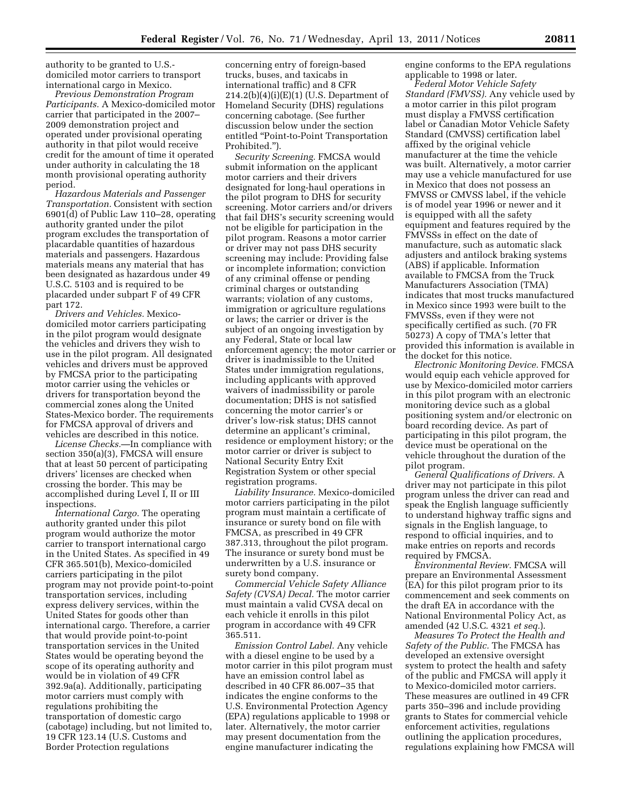authority to be granted to U.S. domiciled motor carriers to transport international cargo in Mexico.

*Previous Demonstration Program Participants.* A Mexico-domiciled motor carrier that participated in the 2007– 2009 demonstration project and operated under provisional operating authority in that pilot would receive credit for the amount of time it operated under authority in calculating the 18 month provisional operating authority period.

*Hazardous Materials and Passenger Transportation.* Consistent with section 6901(d) of Public Law 110–28, operating authority granted under the pilot program excludes the transportation of placardable quantities of hazardous materials and passengers. Hazardous materials means any material that has been designated as hazardous under 49 U.S.C. 5103 and is required to be placarded under subpart F of 49 CFR part 172.

*Drivers and Vehicles.* Mexicodomiciled motor carriers participating in the pilot program would designate the vehicles and drivers they wish to use in the pilot program. All designated vehicles and drivers must be approved by FMCSA prior to the participating motor carrier using the vehicles or drivers for transportation beyond the commercial zones along the United States-Mexico border. The requirements for FMCSA approval of drivers and vehicles are described in this notice.

*License Checks.*—In compliance with section 350(a)(3), FMCSA will ensure that at least 50 percent of participating drivers' licenses are checked when crossing the border. This may be accomplished during Level I, II or III inspections.

*International Cargo.* The operating authority granted under this pilot program would authorize the motor carrier to transport international cargo in the United States. As specified in 49 CFR 365.501(b), Mexico-domiciled carriers participating in the pilot program may not provide point-to-point transportation services, including express delivery services, within the United States for goods other than international cargo. Therefore, a carrier that would provide point-to-point transportation services in the United States would be operating beyond the scope of its operating authority and would be in violation of 49 CFR 392.9a(a). Additionally, participating motor carriers must comply with regulations prohibiting the transportation of domestic cargo (cabotage) including, but not limited to, 19 CFR 123.14 (U.S. Customs and Border Protection regulations

concerning entry of foreign-based trucks, buses, and taxicabs in international traffic) and 8 CFR  $214.2(b)(4)(i)(E)(1)(U.S. Department of$ Homeland Security (DHS) regulations concerning cabotage. (See further discussion below under the section entitled ''Point-to-Point Transportation Prohibited.'').

*Security Screening.* FMCSA would submit information on the applicant motor carriers and their drivers designated for long-haul operations in the pilot program to DHS for security screening. Motor carriers and/or drivers that fail DHS's security screening would not be eligible for participation in the pilot program. Reasons a motor carrier or driver may not pass DHS security screening may include: Providing false or incomplete information; conviction of any criminal offense or pending criminal charges or outstanding warrants; violation of any customs, immigration or agriculture regulations or laws; the carrier or driver is the subject of an ongoing investigation by any Federal, State or local law enforcement agency; the motor carrier or driver is inadmissible to the United States under immigration regulations, including applicants with approved waivers of inadmissibility or parole documentation; DHS is not satisfied concerning the motor carrier's or driver's low-risk status; DHS cannot determine an applicant's criminal, residence or employment history; or the motor carrier or driver is subject to National Security Entry Exit Registration System or other special registration programs.

*Liability Insurance.* Mexico-domiciled motor carriers participating in the pilot program must maintain a certificate of insurance or surety bond on file with FMCSA, as prescribed in 49 CFR 387.313, throughout the pilot program. The insurance or surety bond must be underwritten by a U.S. insurance or surety bond company.

*Commercial Vehicle Safety Alliance Safety (CVSA) Decal.* The motor carrier must maintain a valid CVSA decal on each vehicle it enrolls in this pilot program in accordance with 49 CFR 365.511.

*Emission Control Label.* Any vehicle with a diesel engine to be used by a motor carrier in this pilot program must have an emission control label as described in 40 CFR 86.007–35 that indicates the engine conforms to the U.S. Environmental Protection Agency (EPA) regulations applicable to 1998 or later. Alternatively, the motor carrier may present documentation from the engine manufacturer indicating the

engine conforms to the EPA regulations applicable to 1998 or later.

*Federal Motor Vehicle Safety Standard (FMVSS).* Any vehicle used by a motor carrier in this pilot program must display a FMVSS certification label or Canadian Motor Vehicle Safety Standard (CMVSS) certification label affixed by the original vehicle manufacturer at the time the vehicle was built. Alternatively, a motor carrier may use a vehicle manufactured for use in Mexico that does not possess an FMVSS or CMVSS label, if the vehicle is of model year 1996 or newer and it is equipped with all the safety equipment and features required by the FMVSSs in effect on the date of manufacture, such as automatic slack adjusters and antilock braking systems (ABS) if applicable. Information available to FMCSA from the Truck Manufacturers Association (TMA) indicates that most trucks manufactured in Mexico since 1993 were built to the FMVSSs, even if they were not specifically certified as such. (70 FR 50273) A copy of TMA's letter that provided this information is available in the docket for this notice.

*Electronic Monitoring Device.* FMCSA would equip each vehicle approved for use by Mexico-domiciled motor carriers in this pilot program with an electronic monitoring device such as a global positioning system and/or electronic on board recording device. As part of participating in this pilot program, the device must be operational on the vehicle throughout the duration of the pilot program.

*General Qualifications of Drivers.* A driver may not participate in this pilot program unless the driver can read and speak the English language sufficiently to understand highway traffic signs and signals in the English language, to respond to official inquiries, and to make entries on reports and records required by FMCSA.

*Environmental Review.* FMCSA will prepare an Environmental Assessment (EA) for this pilot program prior to its commencement and seek comments on the draft EA in accordance with the National Environmental Policy Act, as amended (42 U.S.C. 4321 *et seq.*).

*Measures To Protect the Health and Safety of the Public.* The FMCSA has developed an extensive oversight system to protect the health and safety of the public and FMCSA will apply it to Mexico-domiciled motor carriers. These measures are outlined in 49 CFR parts 350–396 and include providing grants to States for commercial vehicle enforcement activities, regulations outlining the application procedures, regulations explaining how FMCSA will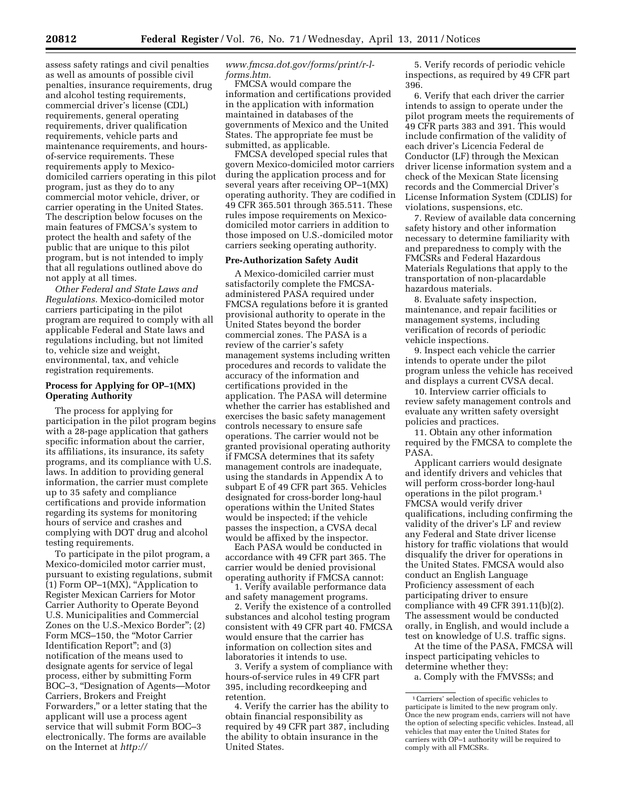assess safety ratings and civil penalties as well as amounts of possible civil penalties, insurance requirements, drug and alcohol testing requirements, commercial driver's license (CDL) requirements, general operating requirements, driver qualification requirements, vehicle parts and maintenance requirements, and hoursof-service requirements. These requirements apply to Mexicodomiciled carriers operating in this pilot program, just as they do to any commercial motor vehicle, driver, or carrier operating in the United States. The description below focuses on the main features of FMCSA's system to protect the health and safety of the public that are unique to this pilot program, but is not intended to imply that all regulations outlined above do not apply at all times.

*Other Federal and State Laws and Regulations.* Mexico-domiciled motor carriers participating in the pilot program are required to comply with all applicable Federal and State laws and regulations including, but not limited to, vehicle size and weight, environmental, tax, and vehicle registration requirements.

# **Process for Applying for OP–1(MX) Operating Authority**

The process for applying for participation in the pilot program begins with a 28-page application that gathers specific information about the carrier, its affiliations, its insurance, its safety programs, and its compliance with U.S. laws. In addition to providing general information, the carrier must complete up to 35 safety and compliance certifications and provide information regarding its systems for monitoring hours of service and crashes and complying with DOT drug and alcohol testing requirements.

To participate in the pilot program, a Mexico-domiciled motor carrier must, pursuant to existing regulations, submit  $(1)$  Form OP-1(MX), "Application to Register Mexican Carriers for Motor Carrier Authority to Operate Beyond U.S. Municipalities and Commercial Zones on the U.S.-Mexico Border''; (2) Form MCS–150, the ''Motor Carrier Identification Report''; and (3) notification of the means used to designate agents for service of legal process, either by submitting Form BOC–3, ''Designation of Agents—Motor Carriers, Brokers and Freight Forwarders,'' or a letter stating that the applicant will use a process agent service that will submit Form BOC–3 electronically. The forms are available on the Internet at *[http://](http://www.fmcsa.dot.gov/forms/print/r-l-forms.htm)* 

## *[www.fmcsa.dot.gov/forms/print/r-l](http://www.fmcsa.dot.gov/forms/print/r-l-forms.htm)[forms.htm.](http://www.fmcsa.dot.gov/forms/print/r-l-forms.htm)*

FMCSA would compare the information and certifications provided in the application with information maintained in databases of the governments of Mexico and the United States. The appropriate fee must be submitted, as applicable.

FMCSA developed special rules that govern Mexico-domiciled motor carriers during the application process and for several years after receiving OP–1(MX) operating authority. They are codified in 49 CFR 365.501 through 365.511. These rules impose requirements on Mexicodomiciled motor carriers in addition to those imposed on U.S.-domiciled motor carriers seeking operating authority.

# **Pre-Authorization Safety Audit**

A Mexico-domiciled carrier must satisfactorily complete the FMCSAadministered PASA required under FMCSA regulations before it is granted provisional authority to operate in the United States beyond the border commercial zones. The PASA is a review of the carrier's safety management systems including written procedures and records to validate the accuracy of the information and certifications provided in the application. The PASA will determine whether the carrier has established and exercises the basic safety management controls necessary to ensure safe operations. The carrier would not be granted provisional operating authority if FMCSA determines that its safety management controls are inadequate, using the standards in Appendix A to subpart E of 49 CFR part 365. Vehicles designated for cross-border long-haul operations within the United States would be inspected; if the vehicle passes the inspection, a CVSA decal would be affixed by the inspector.

Each PASA would be conducted in accordance with 49 CFR part 365. The carrier would be denied provisional operating authority if FMCSA cannot:

1. Verify available performance data and safety management programs.

2. Verify the existence of a controlled substances and alcohol testing program consistent with 49 CFR part 40. FMCSA would ensure that the carrier has information on collection sites and laboratories it intends to use.

3. Verify a system of compliance with hours-of-service rules in 49 CFR part 395, including recordkeeping and retention.

4. Verify the carrier has the ability to obtain financial responsibility as required by 49 CFR part 387, including the ability to obtain insurance in the United States.

5. Verify records of periodic vehicle inspections, as required by 49 CFR part 396.

6. Verify that each driver the carrier intends to assign to operate under the pilot program meets the requirements of 49 CFR parts 383 and 391. This would include confirmation of the validity of each driver's Licencia Federal de Conductor (LF) through the Mexican driver license information system and a check of the Mexican State licensing records and the Commercial Driver's License Information System (CDLIS) for violations, suspensions, etc.

7. Review of available data concerning safety history and other information necessary to determine familiarity with and preparedness to comply with the FMCSRs and Federal Hazardous Materials Regulations that apply to the transportation of non-placardable hazardous materials.

8. Evaluate safety inspection, maintenance, and repair facilities or management systems, including verification of records of periodic vehicle inspections.

9. Inspect each vehicle the carrier intends to operate under the pilot program unless the vehicle has received and displays a current CVSA decal.

10. Interview carrier officials to review safety management controls and evaluate any written safety oversight policies and practices.

11. Obtain any other information required by the FMCSA to complete the PASA.

Applicant carriers would designate and identify drivers and vehicles that will perform cross-border long-haul operations in the pilot program.1 FMCSA would verify driver qualifications, including confirming the validity of the driver's LF and review any Federal and State driver license history for traffic violations that would disqualify the driver for operations in the United States. FMCSA would also conduct an English Language Proficiency assessment of each participating driver to ensure compliance with 49 CFR 391.11(b)(2). The assessment would be conducted orally, in English, and would include a test on knowledge of U.S. traffic signs.

At the time of the PASA, FMCSA will inspect participating vehicles to determine whether they:

a. Comply with the FMVSSs; and

<sup>1</sup>Carriers' selection of specific vehicles to participate is limited to the new program only. Once the new program ends, carriers will not have the option of selecting specific vehicles. Instead, all vehicles that may enter the United States for carriers with OP–1 authority will be required to comply with all FMCSRs.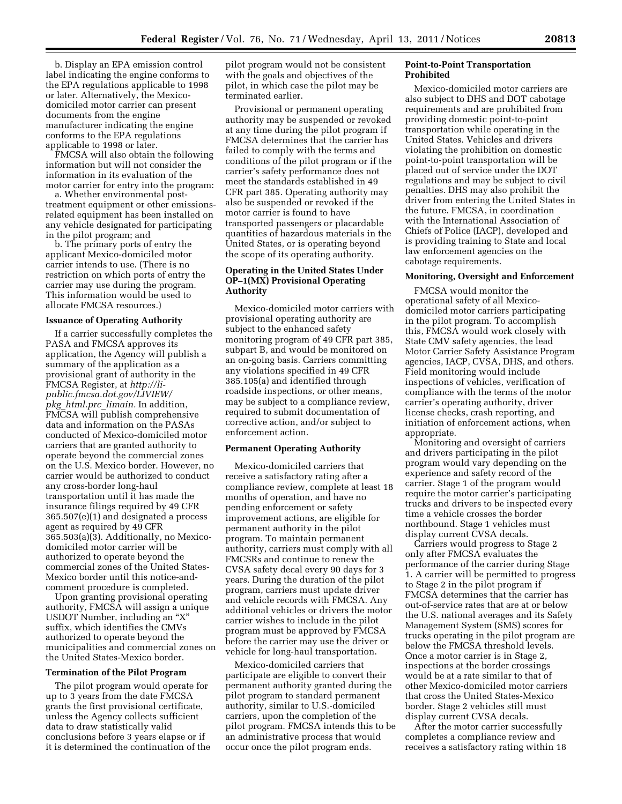b. Display an EPA emission control label indicating the engine conforms to the EPA regulations applicable to 1998 or later. Alternatively, the Mexicodomiciled motor carrier can present documents from the engine manufacturer indicating the engine conforms to the EPA regulations applicable to 1998 or later.

FMCSA will also obtain the following information but will not consider the information in its evaluation of the motor carrier for entry into the program:

a. Whether environmental posttreatment equipment or other emissionsrelated equipment has been installed on any vehicle designated for participating in the pilot program; and

b. The primary ports of entry the applicant Mexico-domiciled motor carrier intends to use. (There is no restriction on which ports of entry the carrier may use during the program. This information would be used to allocate FMCSA resources.)

#### **Issuance of Operating Authority**

If a carrier successfully completes the PASA and FMCSA approves its application, the Agency will publish a summary of the application as a provisional grant of authority in the FMCSA Register, at *[http://li](http://li-public.fmcsa.dot.gov/LIVIEW/pkg_html.prc_limain)[public.fmcsa.dot.gov/LIVIEW/](http://li-public.fmcsa.dot.gov/LIVIEW/pkg_html.prc_limain) pkg*\_*[html.prc](http://li-public.fmcsa.dot.gov/LIVIEW/pkg_html.prc_limain)*\_*limain.* In addition, FMCSA will publish comprehensive data and information on the PASAs conducted of Mexico-domiciled motor carriers that are granted authority to operate beyond the commercial zones on the U.S. Mexico border. However, no carrier would be authorized to conduct any cross-border long-haul transportation until it has made the insurance filings required by 49 CFR 365.507(e)(1) and designated a process agent as required by 49 CFR 365.503(a)(3). Additionally, no Mexicodomiciled motor carrier will be authorized to operate beyond the commercial zones of the United States-Mexico border until this notice-andcomment procedure is completed.

Upon granting provisional operating authority, FMCSA will assign a unique USDOT Number, including an ''X'' suffix, which identifies the CMVs authorized to operate beyond the municipalities and commercial zones on the United States-Mexico border.

#### **Termination of the Pilot Program**

The pilot program would operate for up to 3 years from the date FMCSA grants the first provisional certificate, unless the Agency collects sufficient data to draw statistically valid conclusions before 3 years elapse or if it is determined the continuation of the pilot program would not be consistent with the goals and objectives of the pilot, in which case the pilot may be terminated earlier.

Provisional or permanent operating authority may be suspended or revoked at any time during the pilot program if FMCSA determines that the carrier has failed to comply with the terms and conditions of the pilot program or if the carrier's safety performance does not meet the standards established in 49 CFR part 385. Operating authority may also be suspended or revoked if the motor carrier is found to have transported passengers or placardable quantities of hazardous materials in the United States, or is operating beyond the scope of its operating authority.

# **Operating in the United States Under OP–1(MX) Provisional Operating Authority**

Mexico-domiciled motor carriers with provisional operating authority are subject to the enhanced safety monitoring program of 49 CFR part 385, subpart B, and would be monitored on an on-going basis. Carriers committing any violations specified in 49 CFR 385.105(a) and identified through roadside inspections, or other means, may be subject to a compliance review, required to submit documentation of corrective action, and/or subject to enforcement action.

#### **Permanent Operating Authority**

Mexico-domiciled carriers that receive a satisfactory rating after a compliance review, complete at least 18 months of operation, and have no pending enforcement or safety improvement actions, are eligible for permanent authority in the pilot program. To maintain permanent authority, carriers must comply with all FMCSRs and continue to renew the CVSA safety decal every 90 days for 3 years. During the duration of the pilot program, carriers must update driver and vehicle records with FMCSA. Any additional vehicles or drivers the motor carrier wishes to include in the pilot program must be approved by FMCSA before the carrier may use the driver or vehicle for long-haul transportation.

Mexico-domiciled carriers that participate are eligible to convert their permanent authority granted during the pilot program to standard permanent authority, similar to U.S.-domiciled carriers, upon the completion of the pilot program. FMCSA intends this to be an administrative process that would occur once the pilot program ends.

# **Point-to-Point Transportation Prohibited**

Mexico-domiciled motor carriers are also subject to DHS and DOT cabotage requirements and are prohibited from providing domestic point-to-point transportation while operating in the United States. Vehicles and drivers violating the prohibition on domestic point-to-point transportation will be placed out of service under the DOT regulations and may be subject to civil penalties. DHS may also prohibit the driver from entering the United States in the future. FMCSA, in coordination with the International Association of Chiefs of Police (IACP), developed and is providing training to State and local law enforcement agencies on the cabotage requirements.

#### **Monitoring, Oversight and Enforcement**

FMCSA would monitor the operational safety of all Mexicodomiciled motor carriers participating in the pilot program. To accomplish this, FMCSA would work closely with State CMV safety agencies, the lead Motor Carrier Safety Assistance Program agencies, IACP, CVSA, DHS, and others. Field monitoring would include inspections of vehicles, verification of compliance with the terms of the motor carrier's operating authority, driver license checks, crash reporting, and initiation of enforcement actions, when appropriate.

Monitoring and oversight of carriers and drivers participating in the pilot program would vary depending on the experience and safety record of the carrier. Stage 1 of the program would require the motor carrier's participating trucks and drivers to be inspected every time a vehicle crosses the border northbound. Stage 1 vehicles must display current CVSA decals.

Carriers would progress to Stage 2 only after FMCSA evaluates the performance of the carrier during Stage 1. A carrier will be permitted to progress to Stage 2 in the pilot program if FMCSA determines that the carrier has out-of-service rates that are at or below the U.S. national averages and its Safety Management System (SMS) scores for trucks operating in the pilot program are below the FMCSA threshold levels. Once a motor carrier is in Stage 2, inspections at the border crossings would be at a rate similar to that of other Mexico-domiciled motor carriers that cross the United States-Mexico border. Stage 2 vehicles still must display current CVSA decals.

After the motor carrier successfully completes a compliance review and receives a satisfactory rating within 18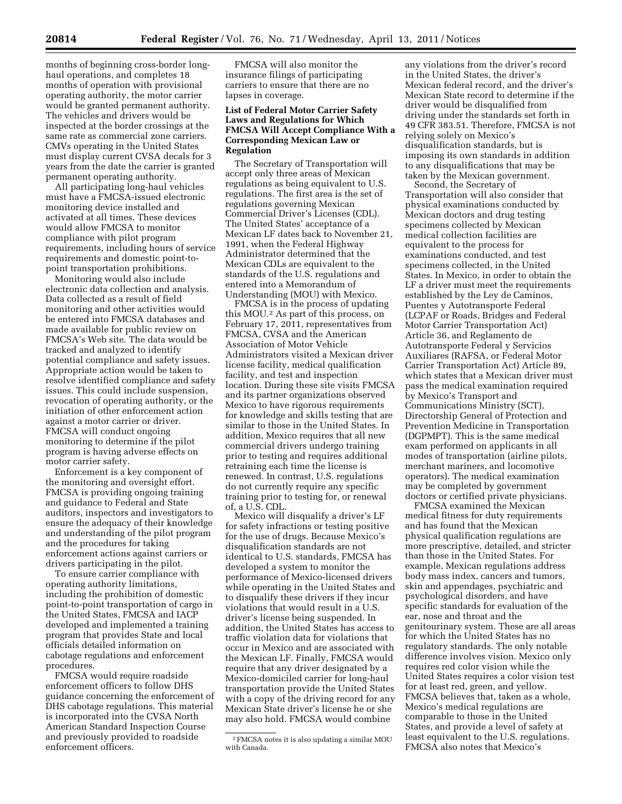months of beginning cross-border longhaul operations, and completes 18 months of operation with provisional operating authority, the motor carrier would be granted permanent authority. The vehicles and drivers would be inspected at the border crossings at the same rate as commercial zone carriers. CMVs operating in the United States must display current CVSA decals for 3 years from the date the carrier is granted permanent operating authority.

All participating long-haul vehicles must have a FMCSA-issued electronic monitoring device installed and activated at all times. These devices would allow FMCSA to monitor compliance with pilot program requirements, including hours of service requirements and domestic point-topoint transportation prohibitions.

Monitoring would also include electronic data collection and analysis. Data collected as a result of field monitoring and other activities would be entered into FMCSA databases and made available for public review on FMCSA's Web site. The data would be tracked and analyzed to identify potential compliance and safety issues. Appropriate action would be taken to resolve identified compliance and safety issues. This could include suspension, revocation of operating authority, or the initiation of other enforcement action against a motor carrier or driver. FMCSA will conduct ongoing monitoring to determine if the pilot program is having adverse effects on motor carrier safety.

Enforcement is a key component of the monitoring and oversight effort. FMCSA is providing ongoing training and guidance to Federal and State auditors, inspectors and investigators to ensure the adequacy of their knowledge and understanding of the pilot program and the procedures for taking enforcement actions against carriers or drivers participating in the pilot.

To ensure carrier compliance with operating authority limitations, including the prohibition of domestic point-to-point transportation of cargo in the United States, FMCSA and IACP developed and implemented a training program that provides State and local officials detailed information on cabotage regulations and enforcement procedures.

FMCSA would require roadside enforcement officers to follow DHS guidance concerning the enforcement of DHS cabotage regulations. This material is incorporated into the CVSA North American Standard Inspection Course and previously provided to roadside enforcement officers.

FMCSA will also monitor the insurance filings of participating carriers to ensure that there are no lapses in coverage.

# **List of Federal Motor Carrier Safety Laws and Regulations for Which FMCSA Will Accept Compliance With a Corresponding Mexican Law or Regulation**

The Secretary of Transportation will accept only three areas of Mexican regulations as being equivalent to U.S. regulations. The first area is the set of regulations governing Mexican Commercial Driver's Licenses (CDL). The United States' acceptance of a Mexican LF dates back to November 21, 1991, when the Federal Highway Administrator determined that the Mexican CDLs are equivalent to the standards of the U.S. regulations and entered into a Memorandum of Understanding (MOU) with Mexico.

FMCSA is in the process of updating this MOU.2 As part of this process, on February 17, 2011, representatives from FMCSA, CVSA and the American Association of Motor Vehicle Administrators visited a Mexican driver license facility, medical qualification facility, and test and inspection location. During these site visits FMCSA and its partner organizations observed Mexico to have rigorous requirements for knowledge and skills testing that are similar to those in the United States. In addition, Mexico requires that all new commercial drivers undergo training prior to testing and requires additional retraining each time the license is renewed. In contrast, U.S. regulations do not currently require any specific training prior to testing for, or renewal of, a U.S. CDL.

Mexico will disqualify a driver's LF for safety infractions or testing positive for the use of drugs. Because Mexico's disqualification standards are not identical to U.S. standards, FMCSA has developed a system to monitor the performance of Mexico-licensed drivers while operating in the United States and to disqualify these drivers if they incur violations that would result in a U.S. driver's license being suspended. In addition, the United States has access to traffic violation data for violations that occur in Mexico and are associated with the Mexican LF. Finally, FMCSA would require that any driver designated by a Mexico-domiciled carrier for long-haul transportation provide the United States with a copy of the driving record for any Mexican State driver's license he or she may also hold. FMCSA would combine

any violations from the driver's record in the United States, the driver's Mexican federal record, and the driver's Mexican State record to determine if the driver would be disqualified from driving under the standards set forth in 49 CFR 383.51. Therefore, FMCSA is not relying solely on Mexico's disqualification standards, but is imposing its own standards in addition to any disqualifications that may be taken by the Mexican government.

Second, the Secretary of Transportation will also consider that physical examinations conducted by Mexican doctors and drug testing specimens collected by Mexican medical collection facilities are equivalent to the process for examinations conducted, and test specimens collected, in the United States. In Mexico, in order to obtain the LF a driver must meet the requirements established by the Ley de Caminos, Puentes y Autotransporte Federal (LCPAF or Roads, Bridges and Federal Motor Carrier Transportation Act) Article 36, and Reglamento de Autotransporte Federal y Servicios Auxiliares (RAFSA, or Federal Motor Carrier Transportation Act) Article 89, which states that a Mexican driver must pass the medical examination required by Mexico's Transport and Communications Ministry (SCT), Directorship General of Protection and Prevention Medicine in Transportation (DGPMPT). This is the same medical exam performed on applicants in all modes of transportation (airline pilots, merchant mariners, and locomotive operators). The medical examination may be completed by government doctors or certified private physicians.

FMCSA examined the Mexican medical fitness for duty requirements and has found that the Mexican physical qualification regulations are more prescriptive, detailed, and stricter than those in the United States. For example, Mexican regulations address body mass index, cancers and tumors, skin and appendages, psychiatric and psychological disorders, and have specific standards for evaluation of the ear, nose and throat and the genitourinary system. These are all areas for which the United States has no regulatory standards. The only notable difference involves vision. Mexico only requires red color vision while the United States requires a color vision test for at least red, green, and yellow. FMCSA believes that, taken as a whole, Mexico's medical regulations are comparable to those in the United States, and provide a level of safety at least equivalent to the U.S. regulations. FMCSA also notes that Mexico's

<sup>2</sup>FMCSA notes it is also updating a similar MOU with Canada.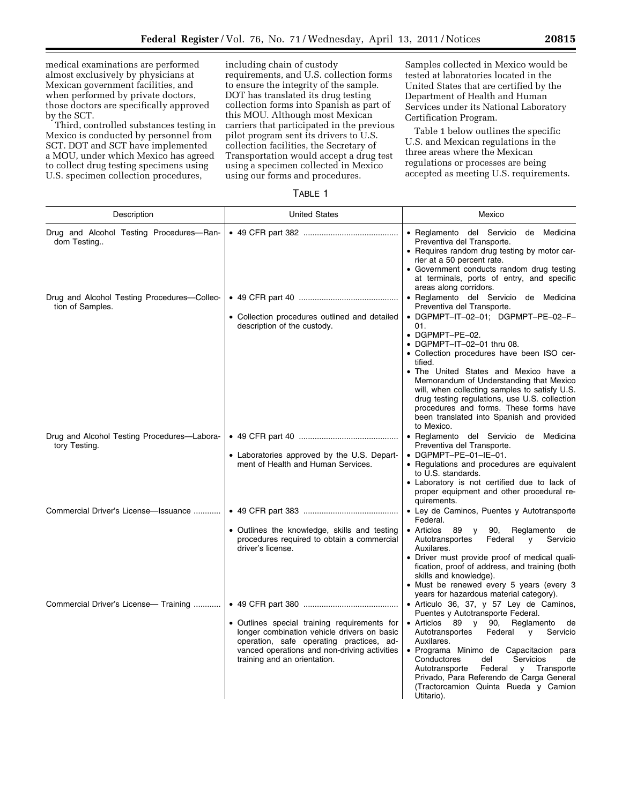medical examinations are performed almost exclusively by physicians at Mexican government facilities, and when performed by private doctors, those doctors are specifically approved by the SCT.

Third, controlled substances testing in Mexico is conducted by personnel from SCT. DOT and SCT have implemented a MOU, under which Mexico has agreed to collect drug testing specimens using U.S. specimen collection procedures,

including chain of custody requirements, and U.S. collection forms to ensure the integrity of the sample. DOT has translated its drug testing collection forms into Spanish as part of this MOU. Although most Mexican carriers that participated in the previous pilot program sent its drivers to U.S. collection facilities, the Secretary of Transportation would accept a drug test using a specimen collected in Mexico using our forms and procedures.

Samples collected in Mexico would be tested at laboratories located in the United States that are certified by the Department of Health and Human Services under its National Laboratory Certification Program.

Table 1 below outlines the specific U.S. and Mexican regulations in the three areas where the Mexican regulations or processes are being accepted as meeting U.S. requirements.

|--|

| Description                                                     | <b>United States</b>                                                                                                                                                                                                    | Mexico                                                                                                                                                                                                                                                                                                                                                                                                                                                                                                                        |  |  |
|-----------------------------------------------------------------|-------------------------------------------------------------------------------------------------------------------------------------------------------------------------------------------------------------------------|-------------------------------------------------------------------------------------------------------------------------------------------------------------------------------------------------------------------------------------------------------------------------------------------------------------------------------------------------------------------------------------------------------------------------------------------------------------------------------------------------------------------------------|--|--|
| Drug and Alcohol Testing Procedures-Ran-<br>dom Testing         |                                                                                                                                                                                                                         | · Reglamento del Servicio de Medicina<br>Preventiva del Transporte.<br>• Requires random drug testing by motor car-<br>rier at a 50 percent rate.<br>• Government conducts random drug testing<br>at terminals, ports of entry, and specific<br>areas along corridors.                                                                                                                                                                                                                                                        |  |  |
| Drug and Alcohol Testing Procedures-Collec-<br>tion of Samples. | • Collection procedures outlined and detailed<br>description of the custody.                                                                                                                                            | • Reglamento del Servicio de Medicina<br>Preventiva del Transporte.<br>• DGPMPT-IT-02-01; DGPMPT-PE-02-F-<br>01.<br>$\bullet$ DGPMPT-PE-02.<br>• DGPMPT-IT-02-01 thru 08.<br>• Collection procedures have been ISO cer-<br>tified.<br>• The United States and Mexico have a<br>Memorandum of Understanding that Mexico<br>will, when collecting samples to satisfy U.S.<br>drug testing regulations, use U.S. collection<br>procedures and forms. These forms have<br>been translated into Spanish and provided<br>to Mexico. |  |  |
| Drug and Alcohol Testing Procedures-Labora-<br>tory Testing.    | • Laboratories approved by the U.S. Depart-<br>ment of Health and Human Services.                                                                                                                                       | • Reglamento del Servicio de Medicina<br>Preventiva del Transporte.<br>$\bullet$ DGPMPT-PE-01-IE-01.<br>• Regulations and procedures are equivalent<br>to U.S. standards.<br>• Laboratory is not certified due to lack of<br>proper equipment and other procedural re-<br>quirements.                                                                                                                                                                                                                                         |  |  |
| Commercial Driver's License-Issuance                            | • Outlines the knowledge, skills and testing<br>procedures required to obtain a commercial<br>driver's license.                                                                                                         | • Ley de Caminos, Puentes y Autotransporte<br>Federal.<br>$\bullet$ Articlos<br>89 y<br>90,<br>Reglamento de<br>Autotransportes<br>Federal<br>Servicio<br>$\mathsf{v}$<br>Auxilares.<br>• Driver must provide proof of medical quali-<br>fication, proof of address, and training (both<br>skills and knowledge).<br>• Must be renewed every 5 years (every 3                                                                                                                                                                 |  |  |
| Commercial Driver's License- Training                           | • Outlines special training requirements for<br>longer combination vehicle drivers on basic<br>operation, safe operating practices, ad-<br>vanced operations and non-driving activities<br>training and an orientation. | years for hazardous material category).<br>• Articulo 36, 37, y 57 Ley de Caminos,<br>Puentes y Autotransporte Federal.<br>• Articlos 89 y 90,<br>Reglamento de<br>Autotransportes<br>Federal<br>Servicio<br>y<br>Auxilares.<br>• Programa Minimo de Capacitacion para<br>Conductores<br>del<br>Servicios<br>de<br>Autotransporte<br>Federal<br>y Transporte<br>Privado, Para Referendo de Carga General<br>(Tractorcamion Quinta Rueda y Camion<br>Utitario).                                                                |  |  |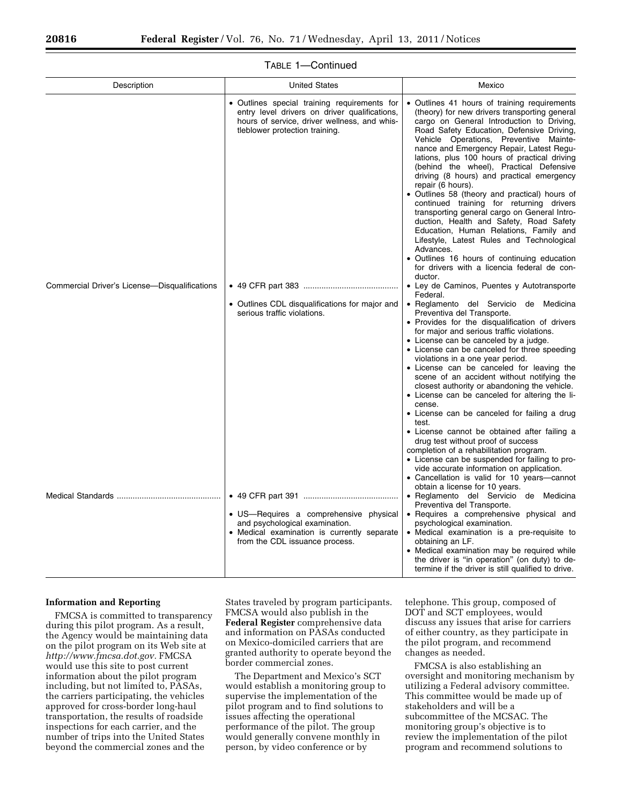| Description                                   | <b>United States</b>                                                                                                                                                            | Mexico                                                                                                                                                                                                                                                                                                                                                                                                                                                                                                                                                                                                                                                                                                                                                                                                                                                               |  |  |
|-----------------------------------------------|---------------------------------------------------------------------------------------------------------------------------------------------------------------------------------|----------------------------------------------------------------------------------------------------------------------------------------------------------------------------------------------------------------------------------------------------------------------------------------------------------------------------------------------------------------------------------------------------------------------------------------------------------------------------------------------------------------------------------------------------------------------------------------------------------------------------------------------------------------------------------------------------------------------------------------------------------------------------------------------------------------------------------------------------------------------|--|--|
|                                               | • Outlines special training requirements for<br>entry level drivers on driver qualifications,<br>hours of service, driver wellness, and whis-<br>tleblower protection training. | • Outlines 41 hours of training requirements<br>(theory) for new drivers transporting general<br>cargo on General Introduction to Driving,<br>Road Safety Education, Defensive Driving,<br>Vehicle Operations, Preventive Mainte-<br>nance and Emergency Repair, Latest Regu-<br>lations, plus 100 hours of practical driving<br>(behind the wheel), Practical Defensive<br>driving (8 hours) and practical emergency<br>repair (6 hours).<br>• Outlines 58 (theory and practical) hours of<br>continued training for returning drivers<br>transporting general cargo on General Intro-<br>duction, Health and Safety, Road Safety<br>Education, Human Relations, Family and<br>Lifestyle, Latest Rules and Technological<br>Advances.<br>• Outlines 16 hours of continuing education<br>for drivers with a licencia federal de con-                                 |  |  |
| Commercial Driver's License-Disqualifications | • Outlines CDL disqualifications for major and<br>serious traffic violations.                                                                                                   | ductor.<br>• Ley de Caminos, Puentes y Autotransporte<br>Federal.<br>· Reglamento del Servicio de Medicina<br>Preventiva del Transporte.<br>• Provides for the disqualification of drivers<br>for major and serious traffic violations.<br>• License can be canceled by a judge.<br>• License can be canceled for three speeding<br>violations in a one year period.<br>• License can be canceled for leaving the<br>scene of an accident without notifying the<br>closest authority or abandoning the vehicle.<br>• License can be canceled for altering the li-<br>cense.<br>• License can be canceled for failing a drug<br>test.<br>• License cannot be obtained after failing a<br>drug test without proof of success<br>completion of a rehabilitation program.<br>• License can be suspended for failing to pro-<br>vide accurate information on application. |  |  |
|                                               | • US—Requires a comprehensive physical<br>and psychological examination.<br>• Medical examination is currently separate<br>from the CDL issuance process.                       | • Cancellation is valid for 10 years-cannot<br>obtain a license for 10 years.<br>• Reglamento del Servicio de Medicina<br>Preventiva del Transporte.<br>• Requires a comprehensive physical and<br>psychological examination.<br>• Medical examination is a pre-requisite to<br>obtaining an LF.<br>• Medical examination may be required while<br>the driver is "in operation" (on duty) to de-<br>termine if the driver is still qualified to drive.                                                                                                                                                                                                                                                                                                                                                                                                               |  |  |

## TABLE 1—Continued

#### **Information and Reporting**

FMCSA is committed to transparency during this pilot program. As a result, the Agency would be maintaining data on the pilot program on its Web site at *[http://www.fmcsa.dot.gov.](http://www.fmcsa.dot.gov)* FMCSA would use this site to post current information about the pilot program including, but not limited to, PASAs, the carriers participating, the vehicles approved for cross-border long-haul transportation, the results of roadside inspections for each carrier, and the number of trips into the United States beyond the commercial zones and the

States traveled by program participants. FMCSA would also publish in the **Federal Register** comprehensive data and information on PASAs conducted on Mexico-domiciled carriers that are granted authority to operate beyond the border commercial zones.

The Department and Mexico's SCT would establish a monitoring group to supervise the implementation of the pilot program and to find solutions to issues affecting the operational performance of the pilot. The group would generally convene monthly in person, by video conference or by

telephone. This group, composed of DOT and SCT employees, would discuss any issues that arise for carriers of either country, as they participate in the pilot program, and recommend changes as needed.

FMCSA is also establishing an oversight and monitoring mechanism by utilizing a Federal advisory committee. This committee would be made up of stakeholders and will be a subcommittee of the MCSAC. The monitoring group's objective is to review the implementation of the pilot program and recommend solutions to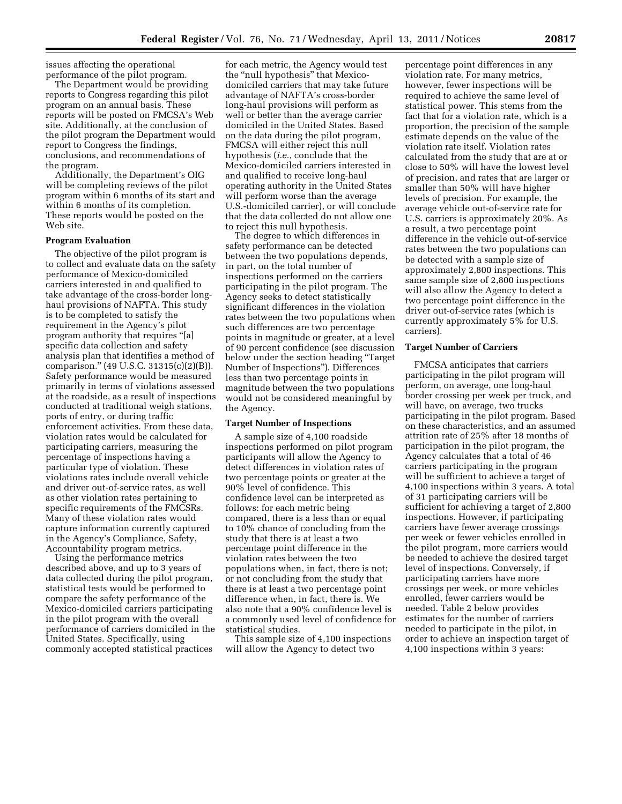issues affecting the operational performance of the pilot program.

The Department would be providing reports to Congress regarding this pilot program on an annual basis. These reports will be posted on FMCSA's Web site. Additionally, at the conclusion of the pilot program the Department would report to Congress the findings, conclusions, and recommendations of the program.

Additionally, the Department's OIG will be completing reviews of the pilot program within 6 months of its start and within 6 months of its completion. These reports would be posted on the Web site.

## **Program Evaluation**

The objective of the pilot program is to collect and evaluate data on the safety performance of Mexico-domiciled carriers interested in and qualified to take advantage of the cross-border longhaul provisions of NAFTA. This study is to be completed to satisfy the requirement in the Agency's pilot program authority that requires ''[a] specific data collection and safety analysis plan that identifies a method of comparison.'' (49 U.S.C. 31315(c)(2)(B)). Safety performance would be measured primarily in terms of violations assessed at the roadside, as a result of inspections conducted at traditional weigh stations, ports of entry, or during traffic enforcement activities. From these data, violation rates would be calculated for participating carriers, measuring the percentage of inspections having a particular type of violation. These violations rates include overall vehicle and driver out-of-service rates, as well as other violation rates pertaining to specific requirements of the FMCSRs. Many of these violation rates would capture information currently captured in the Agency's Compliance, Safety, Accountability program metrics.

Using the performance metrics described above, and up to 3 years of data collected during the pilot program, statistical tests would be performed to compare the safety performance of the Mexico-domiciled carriers participating in the pilot program with the overall performance of carriers domiciled in the United States. Specifically, using commonly accepted statistical practices

for each metric, the Agency would test the "null hypothesis" that Mexicodomiciled carriers that may take future advantage of NAFTA's cross-border long-haul provisions will perform as well or better than the average carrier domiciled in the United States. Based on the data during the pilot program, FMCSA will either reject this null hypothesis (*i.e.,* conclude that the Mexico-domiciled carriers interested in and qualified to receive long-haul operating authority in the United States will perform worse than the average U.S.-domiciled carrier), or will conclude that the data collected do not allow one to reject this null hypothesis.

The degree to which differences in safety performance can be detected between the two populations depends, in part, on the total number of inspections performed on the carriers participating in the pilot program. The Agency seeks to detect statistically significant differences in the violation rates between the two populations when such differences are two percentage points in magnitude or greater, at a level of 90 percent confidence (see discussion below under the section heading ''Target Number of Inspections''). Differences less than two percentage points in magnitude between the two populations would not be considered meaningful by the Agency.

#### **Target Number of Inspections**

A sample size of 4,100 roadside inspections performed on pilot program participants will allow the Agency to detect differences in violation rates of two percentage points or greater at the 90% level of confidence. This confidence level can be interpreted as follows: for each metric being compared, there is a less than or equal to 10% chance of concluding from the study that there is at least a two percentage point difference in the violation rates between the two populations when, in fact, there is not; or not concluding from the study that there is at least a two percentage point difference when, in fact, there is. We also note that a 90% confidence level is a commonly used level of confidence for statistical studies.

This sample size of 4,100 inspections will allow the Agency to detect two

percentage point differences in any violation rate. For many metrics, however, fewer inspections will be required to achieve the same level of statistical power. This stems from the fact that for a violation rate, which is a proportion, the precision of the sample estimate depends on the value of the violation rate itself. Violation rates calculated from the study that are at or close to 50% will have the lowest level of precision, and rates that are larger or smaller than 50% will have higher levels of precision. For example, the average vehicle out-of-service rate for U.S. carriers is approximately 20%. As a result, a two percentage point difference in the vehicle out-of-service rates between the two populations can be detected with a sample size of approximately 2,800 inspections. This same sample size of 2,800 inspections will also allow the Agency to detect a two percentage point difference in the driver out-of-service rates (which is currently approximately 5% for U.S. carriers).

#### **Target Number of Carriers**

FMCSA anticipates that carriers participating in the pilot program will perform, on average, one long-haul border crossing per week per truck, and will have, on average, two trucks participating in the pilot program. Based on these characteristics, and an assumed attrition rate of 25% after 18 months of participation in the pilot program, the Agency calculates that a total of 46 carriers participating in the program will be sufficient to achieve a target of 4,100 inspections within 3 years. A total of 31 participating carriers will be sufficient for achieving a target of 2,800 inspections. However, if participating carriers have fewer average crossings per week or fewer vehicles enrolled in the pilot program, more carriers would be needed to achieve the desired target level of inspections. Conversely, if participating carriers have more crossings per week, or more vehicles enrolled, fewer carriers would be needed. Table 2 below provides estimates for the number of carriers needed to participate in the pilot, in order to achieve an inspection target of 4,100 inspections within 3 years: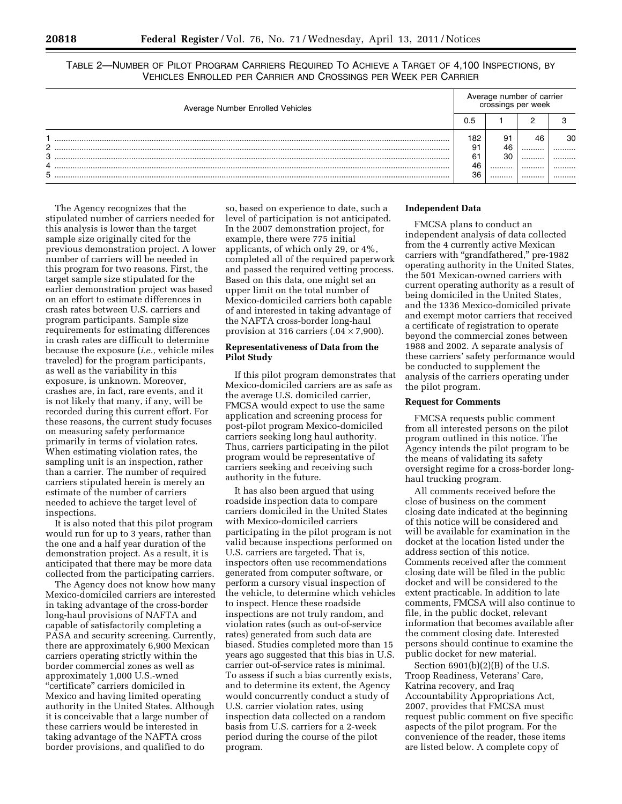TABLE 2—NUMBER OF PILOT PROGRAM CARRIERS REQUIRED TO ACHIEVE A TARGET OF 4,100 INSPECTIONS, BY VEHICLES ENROLLED PER CARRIER AND CROSSINGS PER WEEK PER CARRIER

| Average Number Enrolled Vehicles |           | Average number of carrier<br>crossings per week |        |        |
|----------------------------------|-----------|-------------------------------------------------|--------|--------|
|                                  |           |                                                 |        |        |
| C                                | 182<br>91 | 91<br>46                                        | 46<br> | 30<br> |
| Q<br>4                           | 61<br>46  | 30<br>                                          | <br>   | .<br>  |
| 5                                | 36        |                                                 |        |        |

The Agency recognizes that the stipulated number of carriers needed for this analysis is lower than the target sample size originally cited for the previous demonstration project. A lower number of carriers will be needed in this program for two reasons. First, the target sample size stipulated for the earlier demonstration project was based on an effort to estimate differences in crash rates between U.S. carriers and program participants. Sample size requirements for estimating differences in crash rates are difficult to determine because the exposure (*i.e.,* vehicle miles traveled) for the program participants, as well as the variability in this exposure, is unknown. Moreover, crashes are, in fact, rare events, and it is not likely that many, if any, will be recorded during this current effort. For these reasons, the current study focuses on measuring safety performance primarily in terms of violation rates. When estimating violation rates, the sampling unit is an inspection, rather than a carrier. The number of required carriers stipulated herein is merely an estimate of the number of carriers needed to achieve the target level of inspections.

It is also noted that this pilot program would run for up to 3 years, rather than the one and a half year duration of the demonstration project. As a result, it is anticipated that there may be more data collected from the participating carriers.

The Agency does not know how many Mexico-domiciled carriers are interested in taking advantage of the cross-border long-haul provisions of NAFTA and capable of satisfactorily completing a PASA and security screening. Currently, there are approximately 6,900 Mexican carriers operating strictly within the border commercial zones as well as approximately 1,000 U.S.-wned "certificate" carriers domiciled in Mexico and having limited operating authority in the United States. Although it is conceivable that a large number of these carriers would be interested in taking advantage of the NAFTA cross border provisions, and qualified to do

so, based on experience to date, such a level of participation is not anticipated. In the 2007 demonstration project, for example, there were 775 initial applicants, of which only 29, or 4%, completed all of the required paperwork and passed the required vetting process. Based on this data, one might set an upper limit on the total number of Mexico-domiciled carriers both capable of and interested in taking advantage of the NAFTA cross-border long-haul provision at 316 carriers  $(.04 \times 7,900)$ .

# **Representativeness of Data from the Pilot Study**

If this pilot program demonstrates that Mexico-domiciled carriers are as safe as the average U.S. domiciled carrier, FMCSA would expect to use the same application and screening process for post-pilot program Mexico-domiciled carriers seeking long haul authority. Thus, carriers participating in the pilot program would be representative of carriers seeking and receiving such authority in the future.

It has also been argued that using roadside inspection data to compare carriers domiciled in the United States with Mexico-domiciled carriers participating in the pilot program is not valid because inspections performed on U.S. carriers are targeted. That is, inspectors often use recommendations generated from computer software, or perform a cursory visual inspection of the vehicle, to determine which vehicles to inspect. Hence these roadside inspections are not truly random, and violation rates (such as out-of-service rates) generated from such data are biased. Studies completed more than 15 years ago suggested that this bias in U.S. carrier out-of-service rates is minimal. To assess if such a bias currently exists, and to determine its extent, the Agency would concurrently conduct a study of U.S. carrier violation rates, using inspection data collected on a random basis from U.S. carriers for a 2-week period during the course of the pilot program.

### **Independent Data**

FMCSA plans to conduct an independent analysis of data collected from the 4 currently active Mexican carriers with ''grandfathered,'' pre-1982 operating authority in the United States, the 501 Mexican-owned carriers with current operating authority as a result of being domiciled in the United States, and the 1336 Mexico-domiciled private and exempt motor carriers that received a certificate of registration to operate beyond the commercial zones between 1988 and 2002. A separate analysis of these carriers' safety performance would be conducted to supplement the analysis of the carriers operating under the pilot program.

# **Request for Comments**

FMCSA requests public comment from all interested persons on the pilot program outlined in this notice. The Agency intends the pilot program to be the means of validating its safety oversight regime for a cross-border longhaul trucking program.

All comments received before the close of business on the comment closing date indicated at the beginning of this notice will be considered and will be available for examination in the docket at the location listed under the address section of this notice. Comments received after the comment closing date will be filed in the public docket and will be considered to the extent practicable. In addition to late comments, FMCSA will also continue to file, in the public docket, relevant information that becomes available after the comment closing date. Interested persons should continue to examine the public docket for new material.

Section 6901(b)(2)(B) of the U.S. Troop Readiness, Veterans' Care, Katrina recovery, and Iraq Accountability Appropriations Act, 2007, provides that FMCSA must request public comment on five specific aspects of the pilot program. For the convenience of the reader, these items are listed below. A complete copy of